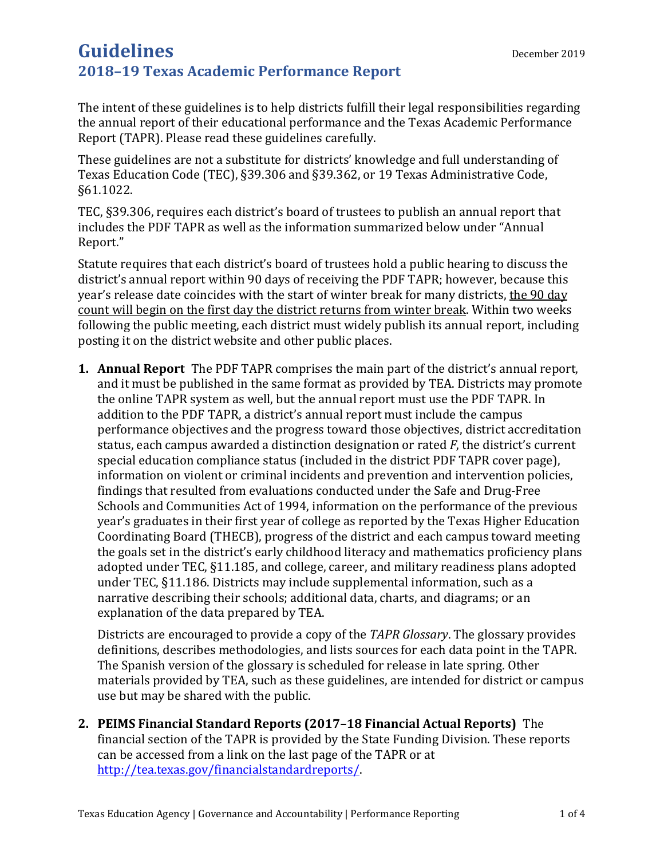The intent of these guidelines is to help districts fulfill their legal responsibilities regarding the annual report of their educational performance and the Texas Academic Performance Report (TAPR). Please read these guidelines carefully.

These guidelines are not a substitute for districts' knowledge and full understanding of Texas Education Code (TEC), §39.306 and §39.362, or 19 Texas Administrative Code, §61.1022.

TEC, §39.306, requires each district's board of trustees to publish an annual report that includes the PDF TAPR as well as the information summarized below under "Annual Report."

Statute requires that each district's board of trustees hold a public hearing to discuss the district's annual report within 90 days of receiving the PDF TAPR; however, because this year's release date coincides with the start of winter break for many districts, the 90 day count will begin on the first day the district returns from winter break. Within two weeks following the public meeting, each district must widely publish its annual report, including posting it on the district website and other public places.

**1. Annual Report** The PDF TAPR comprises the main part of the district's annual report, and it must be published in the same format as provided by TEA. Districts may promote the online TAPR system as well, but the annual report must use the PDF TAPR. In addition to the PDF TAPR, a district's annual report must include the campus performance objectives and the progress toward those objectives, district accreditation status, each campus awarded a distinction designation or rated *F*, the district's current special education compliance status (included in the district PDF TAPR cover page), information on violent or criminal incidents and prevention and intervention policies, findings that resulted from evaluations conducted under the Safe and Drug-Free Schools and Communities Act of 1994, information on the performance of the previous year's graduates in their first year of college as reported by the Texas Higher Education Coordinating Board (THECB), progress of the district and each campus toward meeting the goals set in the district's early childhood literacy and mathematics proficiency plans adopted under TEC, §11.185, and college, career, and military readiness plans adopted under TEC, §11.186. Districts may include supplemental information, such as a narrative describing their schools; additional data, charts, and diagrams; or an explanation of the data prepared by TEA.

Districts are encouraged to provide a copy of the *TAPR Glossary*. The glossary provides definitions, describes methodologies, and lists sources for each data point in the TAPR. The Spanish version of the glossary is scheduled for release in late spring. Other materials provided by TEA, such as these guidelines, are intended for district or campus use but may be shared with the public.

**2. PEIMS Financial Standard Reports (2017–18 Financial Actual Reports)** The financial section of the TAPR is provided by the State Funding Division. These reports can be accessed from a link on the last page of the TAPR or at [http://tea.texas.gov/financialstandardreports/.](http://tea.texas.gov/financialstandardreports/)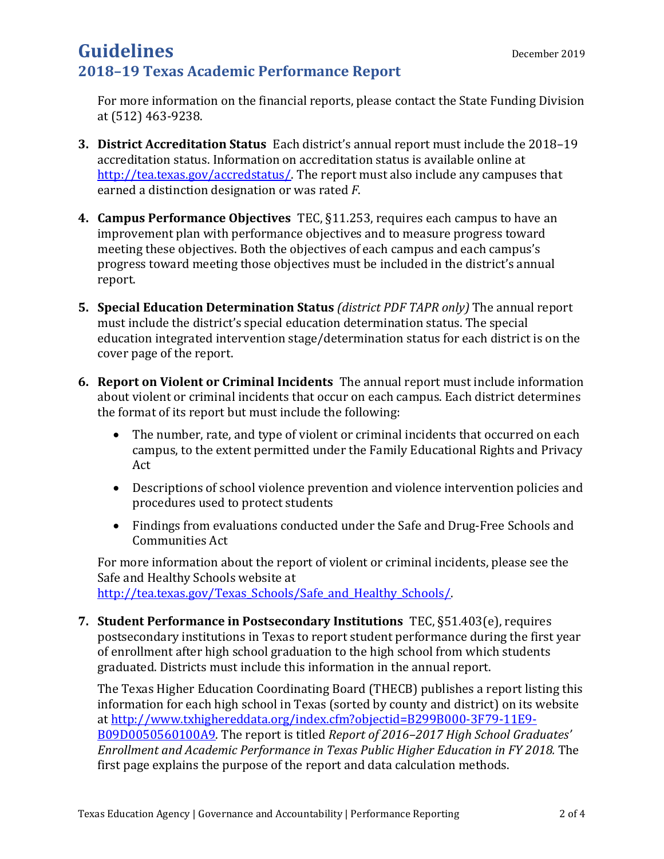For more information on the financial reports, please contact the State Funding Division at (512) 463-9238.

- **3. District Accreditation Status** Each district's annual report must include the 2018–19 accreditation status. Information on accreditation status is available online at [http://tea.texas.gov/accredstatus/.](http://tea.texas.gov/accredstatus/) The report must also include any campuses that earned a distinction designation or was rated *F*.
- **4. Campus Performance Objectives** TEC, §11.253, requires each campus to have an improvement plan with performance objectives and to measure progress toward meeting these objectives. Both the objectives of each campus and each campus's progress toward meeting those objectives must be included in the district's annual report.
- **5. Special Education Determination Status** *(district PDF TAPR only)* The annual report must include the district's special education determination status. The special education integrated intervention stage/determination status for each district is on the cover page of the report.
- **6. Report on Violent or Criminal Incidents** The annual report must include information about violent or criminal incidents that occur on each campus. Each district determines the format of its report but must include the following:
	- The number, rate, and type of violent or criminal incidents that occurred on each campus, to the extent permitted under the Family Educational Rights and Privacy Act
	- Descriptions of school violence prevention and violence intervention policies and procedures used to protect students
	- Findings from evaluations conducted under the Safe and Drug-Free Schools and Communities Act

For more information about the report of violent or criminal incidents, please see the Safe and Healthy Schools website at [http://tea.texas.gov/Texas\\_Schools/Safe\\_and\\_Healthy\\_Schools/.](http://tea.texas.gov/Texas_Schools/Safe_and_Healthy_Schools/)

**7. Student Performance in Postsecondary Institutions** TEC, §51.403(e), requires postsecondary institutions in Texas to report student performance during the first year of enrollment after high school graduation to the high school from which students graduated. Districts must include this information in the annual report.

The Texas Higher Education Coordinating Board (THECB) publishes a report listing this information for each high school in Texas (sorted by county and district) on its website at [http://www.txhighereddata.org/index.cfm?objectid=B299B000-3F79-11E9-](http://www.txhighereddata.org/index.cfm?objectid=B299B000-3F79-11E9-B09D0050560100A9) [B09D0050560100A9.](http://www.txhighereddata.org/index.cfm?objectid=B299B000-3F79-11E9-B09D0050560100A9) The report is titled *Report of 2016–2017 High School Graduates' Enrollment and Academic Performance in Texas Public Higher Education in FY 2018.* The first page explains the purpose of the report and data calculation methods.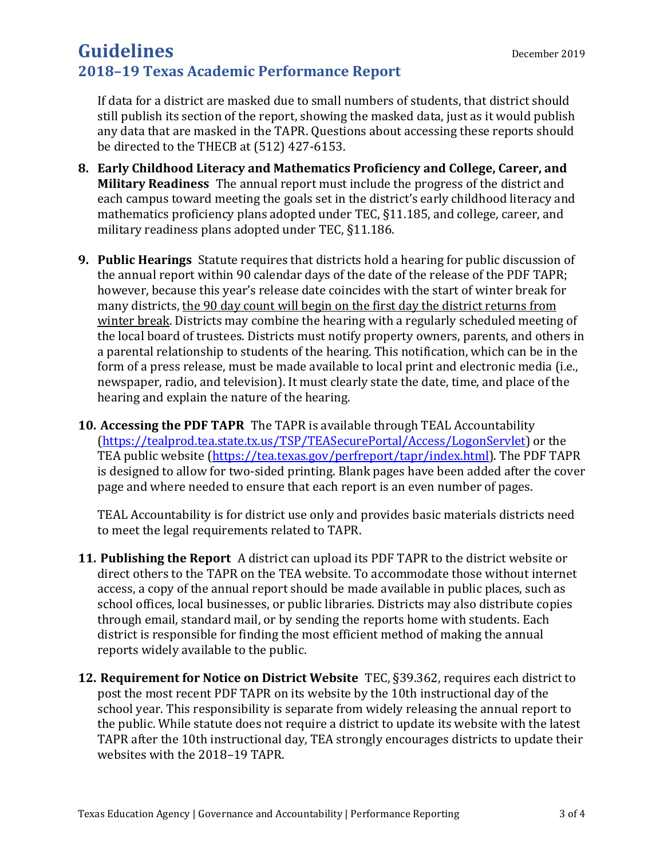If data for a district are masked due to small numbers of students, that district should still publish its section of the report, showing the masked data, just as it would publish any data that are masked in the TAPR. Questions about accessing these reports should be directed to the THECB at (512) 427-6153.

- **8. Early Childhood Literacy and Mathematics Proficiency and College, Career, and Military Readiness** The annual report must include the progress of the district and each campus toward meeting the goals set in the district's early childhood literacy and mathematics proficiency plans adopted under TEC, §11.185, and college, career, and military readiness plans adopted under TEC, §11.186.
- **9. Public Hearings** Statute requires that districts hold a hearing for public discussion of the annual report within 90 calendar days of the date of the release of the PDF TAPR; however, because this year's release date coincides with the start of winter break for many districts, the 90 day count will begin on the first day the district returns from winter break. Districts may combine the hearing with a regularly scheduled meeting of the local board of trustees. Districts must notify property owners, parents, and others in a parental relationship to students of the hearing. This notification, which can be in the form of a press release, must be made available to local print and electronic media (i.e., newspaper, radio, and television). It must clearly state the date, time, and place of the hearing and explain the nature of the hearing.
- **10. Accessing the PDF TAPR** The TAPR is available through TEAL Accountability [\(https://tealprod.tea.state.tx.us/TSP/TEASecurePortal/Access/LogonServlet\)](https://tealprod.tea.state.tx.us/TSP/TEASecurePortal/Access/LogonServlet) or the TEA public website (https://tea.texas.gov/perfreport/tapr/index.html). The PDF TAPR is designed to allow for two-sided printing. Blank pages have been added after the cover page and where needed to ensure that each report is an even number of pages.

TEAL Accountability is for district use only and provides basic materials districts need to meet the legal requirements related to TAPR.

- **11. Publishing the Report** A district can upload its PDF TAPR to the district website or direct others to the TAPR on the TEA website. To accommodate those without internet access, a copy of the annual report should be made available in public places, such as school offices, local businesses, or public libraries. Districts may also distribute copies through email, standard mail, or by sending the reports home with students. Each district is responsible for finding the most efficient method of making the annual reports widely available to the public.
- **12. Requirement for Notice on District Website** TEC, §39.362, requires each district to post the most recent PDF TAPR on its website by the 10th instructional day of the school year. This responsibility is separate from widely releasing the annual report to the public. While statute does not require a district to update its website with the latest TAPR after the 10th instructional day, TEA strongly encourages districts to update their websites with the 2018–19 TAPR.